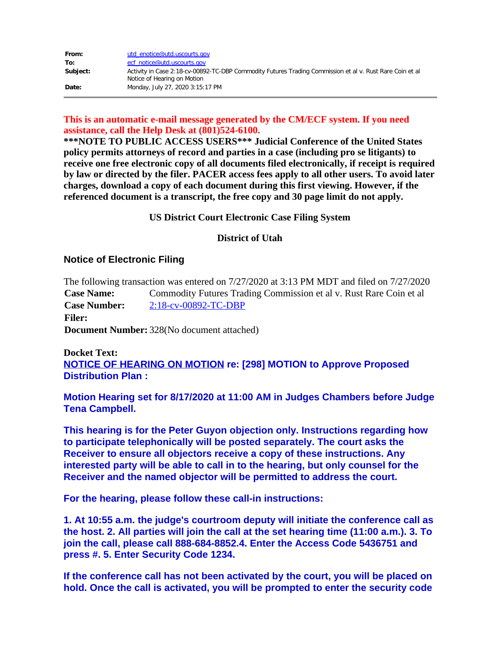| From:    | utd enotice@utd.uscourts.gov                                                                                                            |
|----------|-----------------------------------------------------------------------------------------------------------------------------------------|
| To:      | ecf notice@utd.uscourts.gov                                                                                                             |
| Subject: | Activity in Case 2:18-cv-00892-TC-DBP Commodity Futures Trading Commission et al v. Rust Rare Coin et al<br>Notice of Hearing on Motion |
| Date:    | Monday, July 27, 2020 3:15:17 PM                                                                                                        |

## **This is an automatic e-mail message generated by the CM/ECF system. If you need assistance, call the Help Desk at (801)524-6100.**

**\*\*\*NOTE TO PUBLIC ACCESS USERS\*\*\* Judicial Conference of the United States policy permits attorneys of record and parties in a case (including pro se litigants) to receive one free electronic copy of all documents filed electronically, if receipt is required by law or directed by the filer. PACER access fees apply to all other users. To avoid later charges, download a copy of each document during this first viewing. However, if the referenced document is a transcript, the free copy and 30 page limit do not apply.**

### **US District Court Electronic Case Filing System**

#### **District of Utah**

## **Notice of Electronic Filing**

The following transaction was entered on 7/27/2020 at 3:13 PM MDT and filed on 7/27/2020 **Case Name:** Commodity Futures Trading Commission et al v. Rust Rare Coin et al **Case Number:** [2:18-cv-00892-TC-DBP](https://protect-us.mimecast.com/s/yOJ7C82xqzFvyyOcnBfT0?domain=ecf.utd.uscourts.gov) **Filer: Document Number:** 328(No document attached)

# **Docket Text: NOTICE OF HEARING ON MOTION re: [298] MOTION to Approve Proposed Distribution Plan :**

**Motion Hearing set for 8/17/2020 at 11:00 AM in Judges Chambers before Judge Tena Campbell.**

**This hearing is for the Peter Guyon objection only. Instructions regarding how to participate telephonically will be posted separately. The court asks the Receiver to ensure all objectors receive a copy of these instructions. Any interested party will be able to call in to the hearing, but only counsel for the Receiver and the named objector will be permitted to address the court.**

**For the hearing, please follow these call-in instructions:**

**1. At 10:55 a.m. the judge's courtroom deputy will initiate the conference call as the host. 2. All parties will join the call at the set hearing time (11:00 a.m.). 3. To join the call, please call 888-684-8852.4. Enter the Access Code 5436751 and press #. 5. Enter Security Code 1234.**

**If the conference call has not been activated by the court, you will be placed on hold. Once the call is activated, you will be prompted to enter the security code**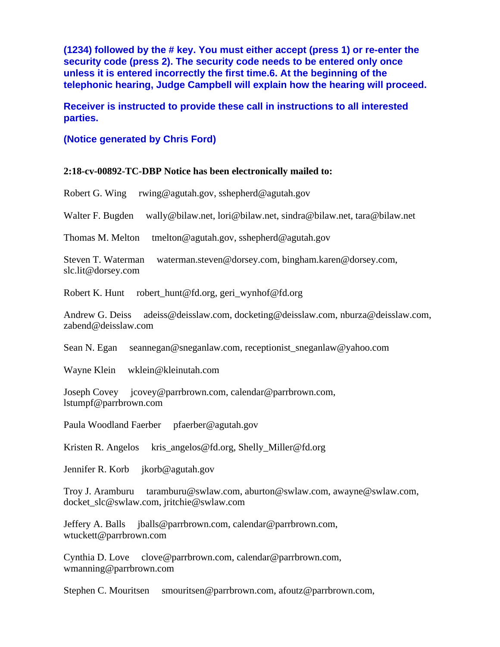**(1234) followed by the # key. You must either accept (press 1) or re-enter the security code (press 2). The security code needs to be entered only once unless it is entered incorrectly the first time.6. At the beginning of the telephonic hearing, Judge Campbell will explain how the hearing will proceed.**

**Receiver is instructed to provide these call in instructions to all interested parties.**

#### **(Notice generated by Chris Ford)**

#### **2:18-cv-00892-TC-DBP Notice has been electronically mailed to:**

Robert G. Wing rwing@agutah.gov, sshepherd@agutah.gov

Walter F. Bugden wally@bilaw.net, lori@bilaw.net, sindra@bilaw.net, tara@bilaw.net

Thomas M. Melton tmelton@agutah.gov, sshepherd@agutah.gov

Steven T. Waterman waterman.steven@dorsey.com, bingham.karen@dorsey.com, slc.lit@dorsey.com

Robert K. Hunt robert hunt@fd.org, geri\_wynhof@fd.org

Andrew G. Deiss adeiss@deisslaw.com, docketing@deisslaw.com, nburza@deisslaw.com, zabend@deisslaw.com

Sean N. Egan seannegan@sneganlaw.com, receptionist\_sneganlaw@yahoo.com

Wayne Klein wklein@kleinutah.com

Joseph Covey jcovey@parrbrown.com, calendar@parrbrown.com, lstumpf@parrbrown.com

Paula Woodland Faerber pfaerber@agutah.gov

Kristen R. Angelos kris\_angelos@fd.org, Shelly\_Miller@fd.org

Jennifer R. Korb jkorb@agutah.gov

Troy J. Aramburu taramburu@swlaw.com, aburton@swlaw.com, awayne@swlaw.com, docket\_slc@swlaw.com, jritchie@swlaw.com

Jeffery A. Balls jballs@parrbrown.com, calendar@parrbrown.com, wtuckett@parrbrown.com

Cynthia D. Love clove@parrbrown.com, calendar@parrbrown.com, wmanning@parrbrown.com

Stephen C. Mouritsen smouritsen@parrbrown.com, afoutz@parrbrown.com,